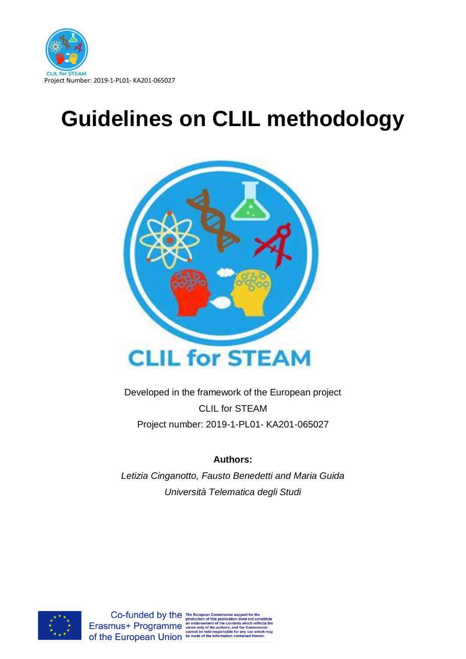

# **Guidelines on CLIL methodology**



Developed in the framework of the European project CLIL for STEAM Project number: 2019-1-PL01- KA201-065027

# **Authors:**

*Letizia Cinganotto, Fausto Benedetti and Maria Guida Università Telematica degli Studi*

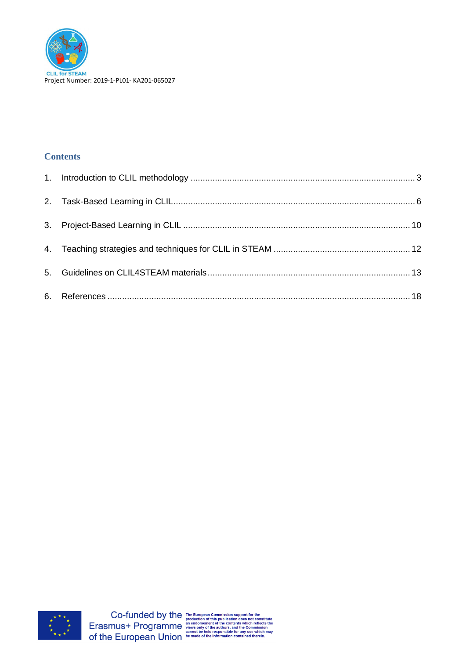

# **Contents**

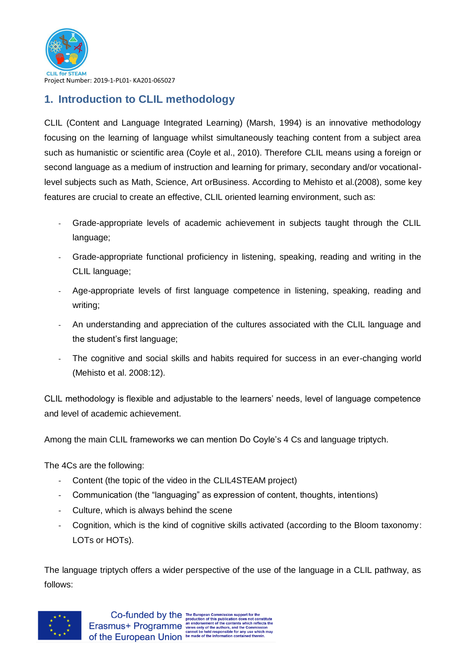

# <span id="page-2-0"></span>**1. Introduction to CLIL methodology**

CLIL (Content and Language Integrated Learning) (Marsh, 1994) is an innovative methodology focusing on the learning of language whilst simultaneously teaching content from a subject area such as humanistic or scientific area (Coyle et al., 2010). Therefore CLIL means using a foreign or second language as a medium of instruction and learning for primary, secondary and/or vocationallevel subjects such as Math, Science, Art orBusiness. According to Mehisto et al.(2008), some key features are crucial to create an effective, CLIL oriented learning environment, such as:

- Grade-appropriate levels of academic achievement in subjects taught through the CLIL language;
- Grade-appropriate functional proficiency in listening, speaking, reading and writing in the CLIL language;
- Age-appropriate levels of first language competence in listening, speaking, reading and writing;
- An understanding and appreciation of the cultures associated with the CLIL language and the student's first language;
- The cognitive and social skills and habits required for success in an ever-changing world (Mehisto et al. 2008:12).

CLIL methodology is flexible and adjustable to the learners' needs, level of language competence and level of academic achievement.

Among the main CLIL frameworks we can mention Do Coyle's 4 Cs and language triptych.

The 4Cs are the following:

- Content (the topic of the video in the CLIL4STEAM project)
- Communication (the "languaging" as expression of content, thoughts, intentions)
- Culture, which is always behind the scene
- Cognition, which is the kind of cognitive skills activated (according to the Bloom taxonomy: LOTs or HOTs).

The language triptych offers a wider perspective of the use of the language in a CLIL pathway, as follows:

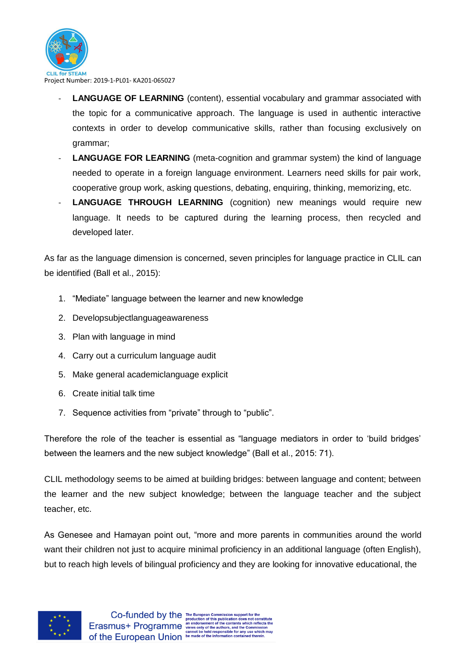for STEAM Project Number: 2019-1-PL01- KA201-065027

- LANGUAGE OF LEARNING (content), essential vocabulary and grammar associated with the topic for a communicative approach. The language is used in authentic interactive contexts in order to develop communicative skills, rather than focusing exclusively on grammar;
- **LANGUAGE FOR LEARNING** (meta-cognition and grammar system) the kind of language needed to operate in a foreign language environment. Learners need skills for pair work, cooperative group work, asking questions, debating, enquiring, thinking, memorizing, etc.
- LANGUAGE THROUGH LEARNING (cognition) new meanings would require new language. It needs to be captured during the learning process, then recycled and developed later.

As far as the language dimension is concerned, seven principles for language practice in CLIL can be identified (Ball et al., 2015):

- 1. "Mediate" language between the learner and new knowledge
- 2. Developsubjectlanguageawareness
- 3. Plan with language in mind
- 4. Carry out a curriculum language audit
- 5. Make general academiclanguage explicit
- 6. Create initial talk time
- 7. Sequence activities from "private" through to "public".

Therefore the role of the teacher is essential as "language mediators in order to 'build bridges' between the learners and the new subject knowledge" (Ball et al., 2015: 71).

CLIL methodology seems to be aimed at building bridges: between language and content; between the learner and the new subject knowledge; between the language teacher and the subject teacher, etc.

As Genesee and Hamayan point out, "more and more parents in communities around the world want their children not just to acquire minimal proficiency in an additional language (often English), but to reach high levels of bilingual proficiency and they are looking for innovative educational, the

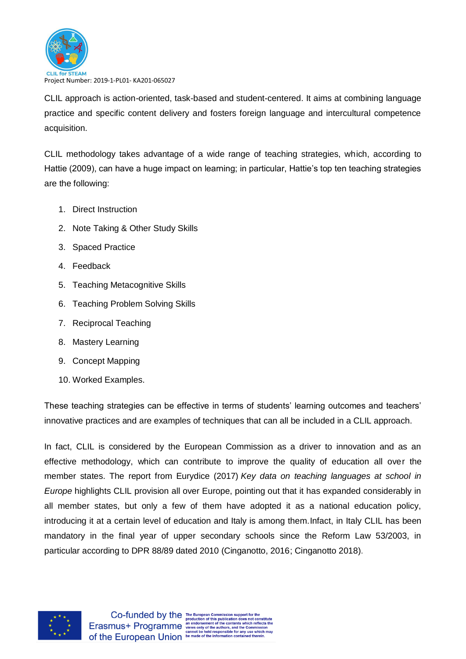

CLIL approach is action-oriented, task-based and student-centered. It aims at combining language practice and specific content delivery and fosters foreign language and intercultural competence acquisition.

CLIL methodology takes advantage of a wide range of teaching strategies, which, according to Hattie (2009), can have a huge impact on learning; in particular, Hattie's top ten teaching strategies are the following:

- 1. Direct Instruction
- 2. Note Taking & Other Study Skills
- 3. Spaced Practice
- 4. Feedback
- 5. Teaching Metacognitive Skills
- 6. Teaching Problem Solving Skills
- 7. Reciprocal Teaching
- 8. Mastery Learning
- 9. Concept Mapping
- 10. Worked Examples.

These teaching strategies can be effective in terms of students' learning outcomes and teachers' innovative practices and are examples of techniques that can all be included in a CLIL approach.

In fact, CLIL is considered by the European Commission as a driver to innovation and as an effective methodology, which can contribute to improve the quality of education all over the member states. The report from Eurydice (2017) *Key data on teaching languages at school in Europe* highlights CLIL provision all over Europe, pointing out that it has expanded considerably in all member states, but only a few of them have adopted it as a national education policy, introducing it at a certain level of education and Italy is among them.Infact, in Italy CLIL has been mandatory in the final year of upper secondary schools since the Reform Law 53/2003, in particular according to DPR 88/89 dated 2010 (Cinganotto, 2016; Cinganotto 2018).

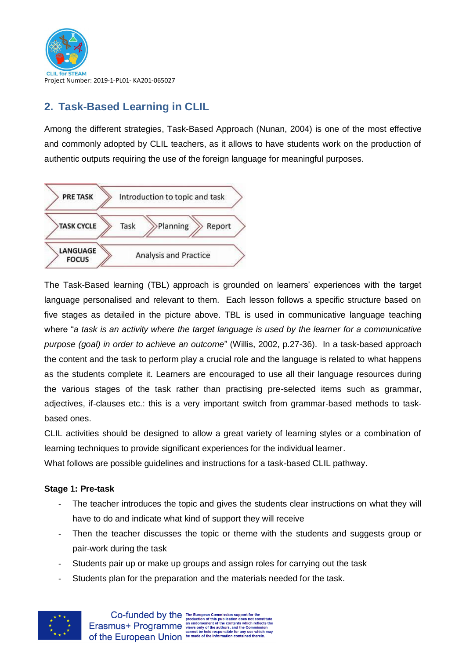

# <span id="page-5-0"></span>**2. Task-Based Learning in CLIL**

Among the different strategies, Task-Based Approach (Nunan, 2004) is one of the most effective and commonly adopted by CLIL teachers, as it allows to have students work on the production of authentic outputs requiring the use of the foreign language for meaningful purposes.



The Task-Based learning (TBL) approach is grounded on learners' experiences with the target language personalised and relevant to them. Each lesson follows a specific structure based on [five stages](http://www.teachingenglish.org.uk/article/a-task-based-approach) as detailed in the picture above. TBL is used in communicative language teaching where "*a task is an activity where the target language is used by the learner for a communicative purpose (goal) in order to achieve an outcome*" (Willis, 2002, p.27-36). In a task-based approach the content and the task to perform play a crucial role and the language is related to what happens as the students complete it. Learners are encouraged to use all their language resources during the various stages of the task rather than practising pre-selected items such as grammar, adjectives, if-clauses etc.: this is a very important switch from grammar-based methods to taskbased ones.

CLIL activities should be designed to allow a great variety of learning styles or a combination of learning techniques to provide significant experiences for the individual learner.

What follows are possible guidelines and instructions for a task-based CLIL pathway.

## **Stage 1: Pre-task**

- The teacher introduces the topic and gives the students clear instructions on what they will have to do and indicate what kind of support they will receive
- Then the teacher discusses the topic or theme with the students and suggests group or pair-work during the task
- Students pair up or make up groups and assign roles for carrying out the task
- Students plan for the preparation and the materials needed for the task.

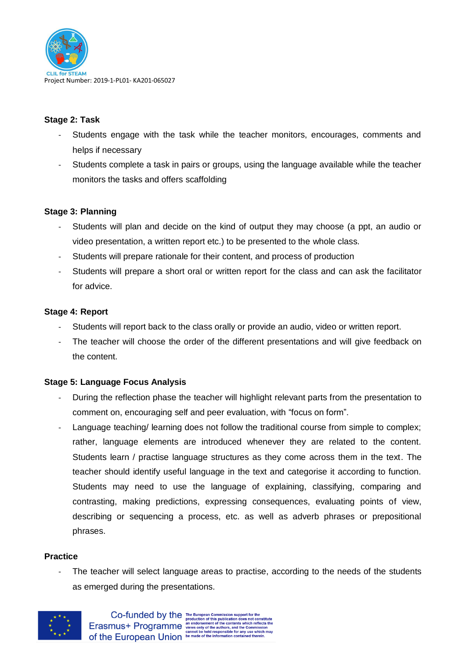

## **Stage 2: Task**

- Students engage with the task while the teacher monitors, encourages, comments and helps if necessary
- Students complete a task in pairs or groups, using the language available while the teacher monitors the tasks and offers scaffolding

## **Stage 3: Planning**

- Students will plan and decide on the kind of output they may choose (a ppt, an audio or video presentation, a written report etc.) to be presented to the whole class.
- Students will prepare rationale for their content, and process of production
- Students will prepare a short oral or written report for the class and can ask the facilitator for advice.

## **Stage 4: Report**

- Students will report back to the class orally or provide an audio, video or written report.
- The teacher will choose the order of the different presentations and will give feedback on the content.

## **Stage 5: Language Focus Analysis**

- During the reflection phase the teacher will highlight relevant parts from the presentation to comment on, encouraging self and peer evaluation, with "focus on form".
- Language teaching/ learning does not follow the traditional course from simple to complex; rather, language elements are introduced whenever they are related to the content. Students learn / practise language structures as they come across them in the text. The teacher should identify useful language in the text and categorise it according to function. Students may need to use the language of explaining, classifying, comparing and contrasting, making predictions, expressing consequences, evaluating points of view, describing or sequencing a process, etc. as well as adverb phrases or prepositional phrases.

#### **Practice**

The teacher will select language areas to practise, according to the needs of the students as emerged during the presentations.

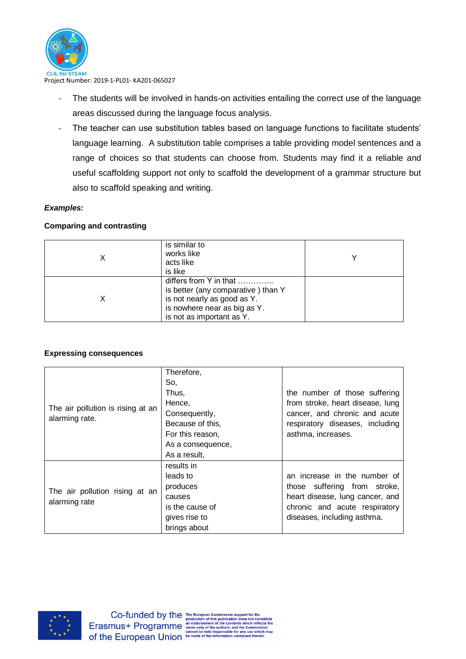

- The students will be involved in hands-on activities entailing the correct use of the language areas discussed during the language focus analysis.
- The teacher can use substitution tables based on language functions to facilitate students' language learning. A substitution table comprises a table providing model sentences and a range of choices so that students can choose from. Students may find it a reliable and useful scaffolding support not only to scaffold the development of a grammar structure but also to scaffold speaking and writing.

## *Examples:*

## **Comparing and contrasting**

| is similar to<br>works like<br>acts like<br>is like                                                                                                      |  |
|----------------------------------------------------------------------------------------------------------------------------------------------------------|--|
| differs from Y in that<br>is better (any comparative) than Y<br>is not nearly as good as Y.<br>is nowhere near as big as Y.<br>is not as important as Y. |  |

#### **Expressing consequences**

|                                   | Therefore,        |                                  |
|-----------------------------------|-------------------|----------------------------------|
|                                   | So,               |                                  |
|                                   | Thus,             | the number of those suffering    |
|                                   | Hence,            | from stroke, heart disease, lung |
| The air pollution is rising at an | Consequently,     | cancer, and chronic and acute    |
| alarming rate.                    | Because of this,  | respiratory diseases, including  |
|                                   | For this reason,  | asthma, increases.               |
|                                   | As a consequence, |                                  |
|                                   | As a result,      |                                  |
|                                   | results in        |                                  |
|                                   | leads to          | an increase in the number of     |
| The air pollution rising at an    | produces          | those suffering from stroke,     |
| alarming rate                     | causes            | heart disease, lung cancer, and  |
|                                   | is the cause of   | chronic and acute respiratory    |
|                                   | gives rise to     | diseases, including asthma.      |
|                                   | brings about      |                                  |

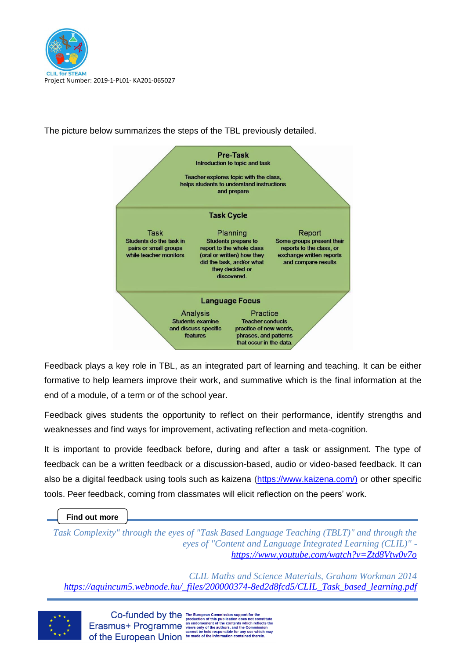



The picture below summarizes the steps of the TBL previously detailed.

Feedback plays a key role in TBL, as an integrated part of learning and teaching. It can be either formative to help learners improve their work, and summative which is the final information at the end of a module, of a term or of the school year.

Feedback gives students the opportunity to reflect on their performance, identify strengths and weaknesses and find ways for improvement, activating reflection and meta-cognition.

It is important to provide feedback before, during and after a task or assignment. The type of feedback can be a written feedback or a discussion-based, audio or video-based feedback. It can also be a digital feedback using tools such as kaizena [\(https://www.kaizena.com/\)](https://www.kaizena.com/)) or other specific tools. Peer feedback, coming from classmates will elicit reflection on the peers' work.

#### **Find out more**

*Task Complexity" through the eyes of "Task Based Language Teaching (TBLT)" and through the eyes of "Content and Language Integrated Learning (CLIL)" <https://www.youtube.com/watch?v=Ztd8Vtw0v7o>*

*CLIL Maths and Science Materials, Graham Workman 2014 [https://aquincum5.webnode.hu/\\_files/200000374-8ed2d8fcd5/CLIL\\_Task\\_based\\_learning.pdf](https://aquincum5.webnode.hu/_files/200000374-8ed2d8fcd5/CLIL_Task_based_learning.pdf)*

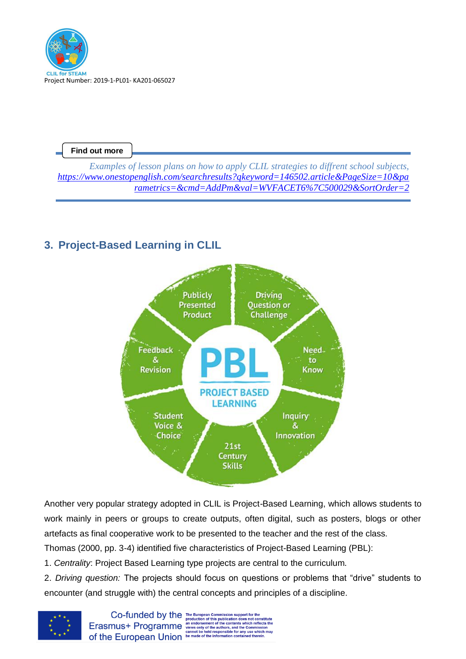

*Examples of lesson plans on how to apply CLIL strategies to diffrent school subjects, [https://www.onestopenglish.com/searchresults?qkeyword=146502.article&PageSize=10&pa](https://www.onestopenglish.com/searchresults?qkeyword=146502.article&PageSize=10¶metrics=&cmd=AddPm&val=WVFACET6%7C500029&SortOrder=2) [rametrics=&cmd=AddPm&val=WVFACET6%7C500029&SortOrder=2](https://www.onestopenglish.com/searchresults?qkeyword=146502.article&PageSize=10¶metrics=&cmd=AddPm&val=WVFACET6%7C500029&SortOrder=2)*

# <span id="page-9-0"></span>**3. Project-Based Learning in CLIL**



Another very popular strategy adopted in CLIL is Project-Based Learning, which allows students to work mainly in peers or groups to create outputs, often digital, such as posters, blogs or other artefacts as final cooperative work to be presented to the teacher and the rest of the class.

Thomas (2000, pp. 3-4) identified five characteristics of Project-Based Learning (PBL):

1. *Centrality*: Project Based Learning type projects are central to the curriculum.

2. *Driving question:* The projects should focus on questions or problems that "drive" students to encounter (and struggle with) the central concepts and principles of a discipline.



 $\textbf{Co-fundred by the {\tiny\textsf{F}}\xspace} {\tiny\textsf{F}}\xspace$  <br> $\textbf{Co-funeded by the {\tiny\textsf{production of this publication does not constitute}} {\tiny\textsf{production of this publication does not constitute}} {\tiny\textsf{current of the contents which reflects the  
cammision cannot be held responsible for any use which may  
of the European Union be made of the information contained therein.}$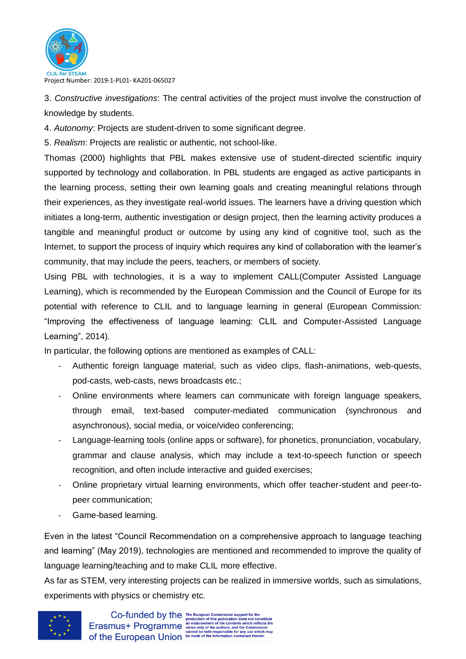

3. *Constructive investigations*: The central activities of the project must involve the construction of knowledge by students.

4. *Autonomy*: Projects are student-driven to some significant degree.

5. *Realism*: Projects are realistic or authentic, not school-like.

Thomas (2000) highlights that PBL makes extensive use of student-directed scientific inquiry supported by technology and collaboration. In PBL students are engaged as active participants in the learning process, setting their own learning goals and creating meaningful relations through their experiences, as they investigate real-world issues. The learners have a driving question which initiates a long-term, authentic investigation or design project, then the learning activity produces a tangible and meaningful product or outcome by using any kind of cognitive tool, such as the Internet, to support the process of inquiry which requires any kind of collaboration with the learner's community, that may include the peers, teachers, or members of society.

Using PBL with technologies, it is a way to implement CALL(Computer Assisted Language Learning), which is recommended by the European Commission and the Council of Europe for its potential with reference to CLIL and to language learning in general (European Commission: "Improving the effectiveness of language learning: CLIL and Computer-Assisted Language Learning", 2014).

In particular, the following options are mentioned as examples of CALL:

- Authentic foreign language material, such as video clips, flash-animations, web-quests, pod-casts, web-casts, news broadcasts etc.;
- Online environments where learners can communicate with foreign language speakers, through email, text-based computer-mediated communication (synchronous and asynchronous), social media, or voice/video conferencing;
- Language-learning tools (online apps or software), for phonetics, pronunciation, vocabulary, grammar and clause analysis, which may include a text-to-speech function or speech recognition, and often include interactive and guided exercises;
- Online proprietary virtual learning environments, which offer teacher-student and peer-topeer communication;
- Game-based learning.

Even in the latest "Council Recommendation on a comprehensive approach to language teaching and learning" (May 2019), technologies are mentioned and recommended to improve the quality of language learning/teaching and to make CLIL more effective.

As far as STEM, very interesting projects can be realized in immersive worlds, such as simulations, experiments with physics or chemistry etc.

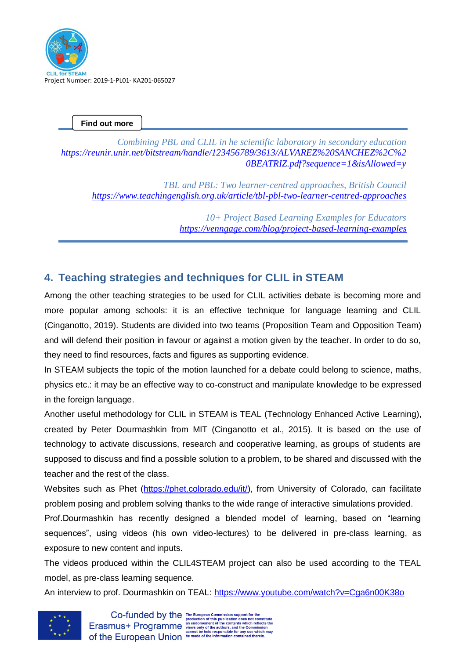

*Combining PBL and CLIL in he scientific laboratory in secondary education [https://reunir.unir.net/bitstream/handle/123456789/3613/ALVAREZ%20SANCHEZ%2C%2](https://reunir.unir.net/bitstream/handle/123456789/3613/ALVAREZ%20SANCHEZ%2C%20BEATRIZ.pdf?sequence=1&isAllowed=y) [0BEATRIZ.pdf?sequence=1&isAllowed=y](https://reunir.unir.net/bitstream/handle/123456789/3613/ALVAREZ%20SANCHEZ%2C%20BEATRIZ.pdf?sequence=1&isAllowed=y)*

*TBL and PBL: Two learner-centred approaches, British Council <https://www.teachingenglish.org.uk/article/tbl-pbl-two-learner-centred-approaches>*

> *10+ Project Based Learning Examples for Educators <https://venngage.com/blog/project-based-learning-examples>*

# <span id="page-11-0"></span>**4. Teaching strategies and techniques for CLIL in STEAM**

Among the other teaching strategies to be used for CLIL activities debate is becoming more and more popular among schools: it is an effective technique for language learning and CLIL (Cinganotto, 2019). Students are divided into two teams (Proposition Team and Opposition Team) and will defend their position in favour or against a motion given by the teacher. In order to do so, they need to find resources, facts and figures as supporting evidence.

In STEAM subjects the topic of the motion launched for a debate could belong to science, maths, physics etc.: it may be an effective way to co-construct and manipulate knowledge to be expressed in the foreign language.

Another useful methodology for CLIL in STEAM is TEAL (Technology Enhanced Active Learning), created by Peter Dourmashkin from MIT (Cinganotto et al., 2015). It is based on the use of technology to activate discussions, research and cooperative learning, as groups of students are supposed to discuss and find a possible solution to a problem, to be shared and discussed with the teacher and the rest of the class.

Websites such as Phet [\(https://phet.colorado.edu/it/\)](https://phet.colorado.edu/it/), from University of Colorado, can facilitate problem posing and problem solving thanks to the wide range of interactive simulations provided.

Prof.Dourmashkin has recently designed a blended model of learning, based on "learning sequences", using videos (his own video-lectures) to be delivered in pre-class learning, as exposure to new content and inputs.

The videos produced within the CLIL4STEAM project can also be used according to the TEAL model, as pre-class learning sequence.

An interview to prof. Dourmashkin on TEAL:<https://www.youtube.com/watch?v=Cga6n00K38o>

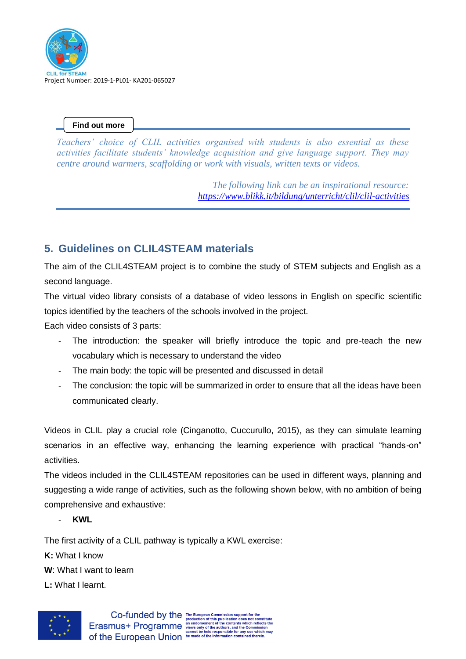

*Teachers' choice of CLIL activities organised with students is also essential as these activities facilitate students' knowledge acquisition and give language support. They may centre around warmers, scaffolding or work with visuals, written texts or videos.* 

> *The following link can be an inspirational resource: <https://www.blikk.it/bildung/unterricht/clil/clil-activities>*

# <span id="page-12-0"></span>**5. Guidelines on CLIL4STEAM materials**

The aim of the CLIL4STEAM project is to combine the study of STEM subjects and English as a second language.

The virtual video library consists of a database of video lessons in English on specific scientific topics identified by the teachers of the schools involved in the project.

Each video consists of 3 parts:

- The introduction: the speaker will briefly introduce the topic and pre-teach the new vocabulary which is necessary to understand the video
- The main body: the topic will be presented and discussed in detail
- The conclusion: the topic will be summarized in order to ensure that all the ideas have been communicated clearly.

Videos in CLIL play a crucial role (Cinganotto, Cuccurullo, 2015), as they can simulate learning scenarios in an effective way, enhancing the learning experience with practical "hands-on" activities.

The videos included in the CLIL4STEAM repositories can be used in different ways, planning and suggesting a wide range of activities, such as the following shown below, with no ambition of being comprehensive and exhaustive:

- **KWL**

The first activity of a CLIL pathway is typically a KWL exercise:

**K:** What I know

**W**: What I want to learn

**L:** What I learnt.

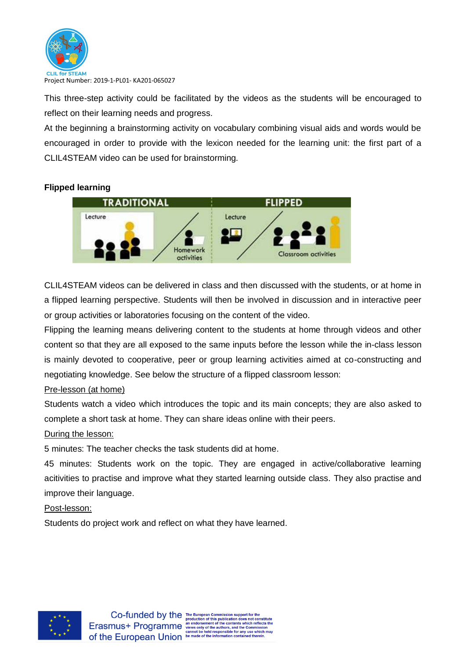

This three-step activity could be facilitated by the videos as the students will be encouraged to reflect on their learning needs and progress.

At the beginning a brainstorming activity on vocabulary combining visual aids and words would be encouraged in order to provide with the lexicon needed for the learning unit: the first part of a CLIL4STEAM video can be used for brainstorming.

## **Flipped learning**



CLIL4STEAM videos can be delivered in class and then discussed with the students, or at home in a flipped learning perspective. Students will then be involved in discussion and in interactive peer or group activities or laboratories focusing on the content of the video.

Flipping the learning means delivering content to the students at home through videos and other content so that they are all exposed to the same inputs before the lesson while the in-class lesson is mainly devoted to cooperative, peer or group learning activities aimed at co-constructing and negotiating knowledge. See below the structure of a flipped classroom lesson:

## Pre-lesson (at home)

Students watch a video which introduces the topic and its main concepts; they are also asked to complete a short task at home. They can share ideas online with their peers.

## During the lesson:

5 minutes: The teacher checks the task students did at home.

45 minutes: Students work on the topic. They are engaged in active/collaborative learning acitivities to practise and improve what they started learning outside class. They also practise and improve their language.

#### Post-lesson:

Students do project work and reflect on what they have learned.

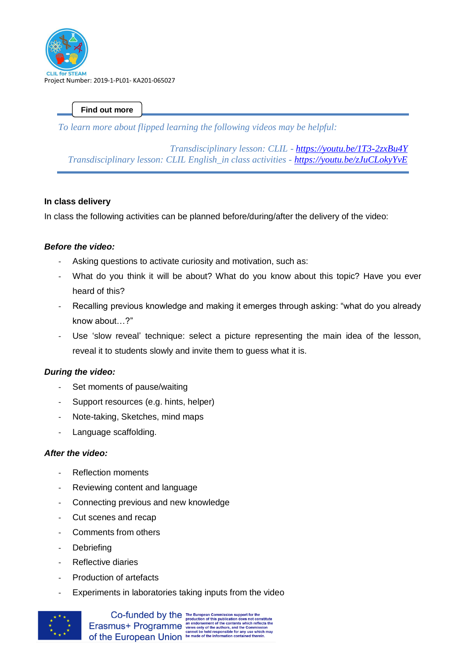

*To learn more about flipped learning the following videos may be helpful:*

*Transdisciplinary lesson: CLIL - <https://youtu.be/1T3-2zxBu4Y> Transdisciplinary lesson: CLIL English\_in class activities - <https://youtu.be/zJuCLokyYvE>*

## **In class delivery**

In class the following activities can be planned before/during/after the delivery of the video:

## *Before the video:*

- Asking questions to activate curiosity and motivation, such as:
- What do you think it will be about? What do you know about this topic? Have you ever heard of this?
- Recalling previous knowledge and making it emerges through asking: "what do you already know about…?"
- Use 'slow reveal' technique: select a picture representing the main idea of the lesson, reveal it to students slowly and invite them to guess what it is.

## *During the video:*

- Set moments of pause/waiting
- Support resources (e.g. hints, helper)
- Note-taking, Sketches, mind maps
- Language scaffolding.

## *After the video:*

- Reflection moments
- Reviewing content and language
- Connecting previous and new knowledge
- Cut scenes and recap
- Comments from others
- Debriefing
- Reflective diaries
- Production of artefacts
- Experiments in laboratories taking inputs from the video

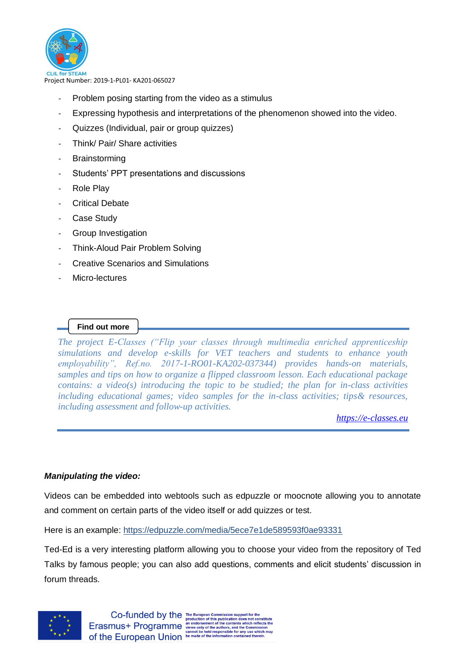

- Problem posing starting from the video as a stimulus
- Expressing hypothesis and interpretations of the phenomenon showed into the video.
- Quizzes (Individual, pair or group quizzes)
- Think/ Pair/ Share activities
- **Brainstorming**
- Students' PPT presentations and discussions
- Role Play
- Critical Debate
- Case Study
- Group Investigation
- Think-Aloud Pair Problem Solving
- Creative Scenarios and Simulations
- Micro-lectures

## **Find out more**

*The project E-Classes ("Flip your classes through multimedia enriched apprenticeship simulations and develop e-skills for VET teachers and students to enhance youth employability", Ref.no. 2017-1-RO01-KA202-037344) provides hands-on materials, samples and tips on how to organize a flipped classroom lesson. Each educational package contains: a video(s) introducing the topic to be studied; the plan for in-class activities including educational games; video samples for the in-class activities; tips& resources, including assessment and follow-up activities.* 

*[https://e-classes.eu](https://e-classes.eu/)* 

## *Manipulating the video:*

Videos can be embedded into webtools such as edpuzzle or moocnote allowing you to annotate and comment on certain parts of the video itself or add quizzes or test.

Here is an example:<https://edpuzzle.com/media/5ece7e1de589593f0ae93331>

Ted-Ed is a very interesting platform allowing you to choose your video from the repository of Ted Talks by famous people; you can also add questions, comments and elicit students' discussion in forum threads.

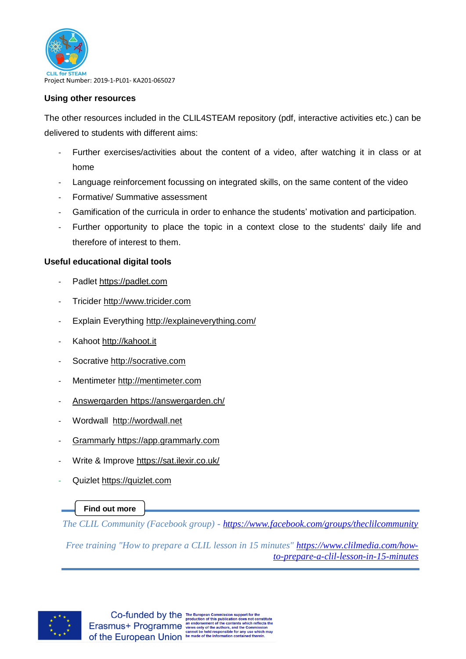

## **Using other resources**

The other resources included in the CLIL4STEAM repository (pdf, interactive activities etc.) can be delivered to students with different aims:

- Further exercises/activities about the content of a video, after watching it in class or at home
- Language reinforcement focussing on integrated skills, on the same content of the video
- Formative/ Summative assessment
- Gamification of the curricula in order to enhance the students' motivation and participation.
- Further opportunity to place the topic in a context close to the students' daily life and therefore of interest to them.

## **Useful educational digital tools**

- Padlet [https://padlet.com](https://padlet.com/)
- Tricider [http://www.tricider.com](http://www.tricider.com/)
- Explain Everything<http://explaineverything.com/>
- Kahoot [http://kahoot.it](http://kahoot.it/)
- Socrative [http://socrative.com](http://socrative.com/)
- Mentimeter [http://mentimeter.com](http://mentimeter.com/)
- Answergarden https://answergarden.ch/
- Wordwall [http://wordwall.net](http://wordwall.net/)
- Grammarly https://app.grammarly.com
- Write & Improve<https://sat.ilexir.co.uk/>
- Quizlet [https://quizlet.com](https://quizlet.com/)

## **Find out more**

*The CLIL Community (Facebook group) - <https://www.facebook.com/groups/theclilcommunity>*

*Free training "How to prepare a CLIL lesson in 15 minutes" [https://www.clilmedia.com/how](https://www.clilmedia.com/how-to-prepare-a-clil-lesson-in-15-minutes)[to-prepare-a-clil-lesson-in-15-minutes](https://www.clilmedia.com/how-to-prepare-a-clil-lesson-in-15-minutes)*